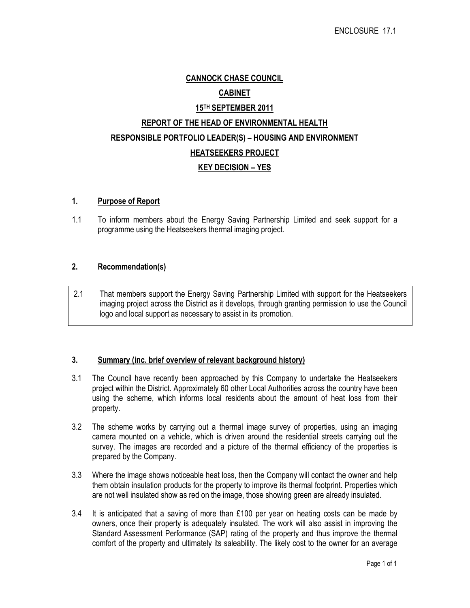## CANNOCK CHASE COUNCIL

## CABINET

# 15TH SEPTEMBER 2011 REPORT OF THE HEAD OF ENVIRONMENTAL HEALTH RESPONSIBLE PORTFOLIO LEADER(S) – HOUSING AND ENVIRONMENT HEATSEEKERS PROJECT KEY DECISION – YES

## 1. Purpose of Report

1.1 To inform members about the Energy Saving Partnership Limited and seek support for a programme using the Heatseekers thermal imaging project.

## 2. Recommendation(s)

2.1 That members support the Energy Saving Partnership Limited with support for the Heatseekers imaging project across the District as it develops, through granting permission to use the Council logo and local support as necessary to assist in its promotion.

## 3. Summary (inc. brief overview of relevant background history)

- 3.1 The Council have recently been approached by this Company to undertake the Heatseekers project within the District. Approximately 60 other Local Authorities across the country have been using the scheme, which informs local residents about the amount of heat loss from their property.
- 3.2 The scheme works by carrying out a thermal image survey of properties, using an imaging camera mounted on a vehicle, which is driven around the residential streets carrying out the survey. The images are recorded and a picture of the thermal efficiency of the properties is prepared by the Company.
- 3.3 Where the image shows noticeable heat loss, then the Company will contact the owner and help them obtain insulation products for the property to improve its thermal footprint. Properties which are not well insulated show as red on the image, those showing green are already insulated.
- 3.4 It is anticipated that a saving of more than £100 per year on heating costs can be made by owners, once their property is adequately insulated. The work will also assist in improving the Standard Assessment Performance (SAP) rating of the property and thus improve the thermal comfort of the property and ultimately its saleability. The likely cost to the owner for an average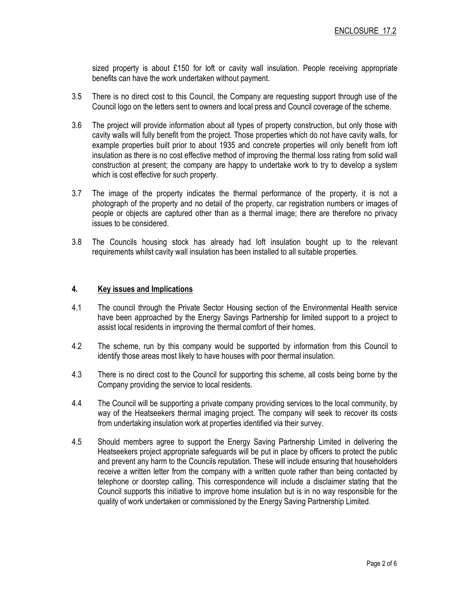sized property is about £150 for loft or cavity wall insulation. People receiving appropriate benefits can have the work undertaken without payment.

- 3.5 There is no direct cost to this Council, the Company are requesting support through use of the Council logo on the letters sent to owners and local press and Council coverage of the scheme.
- 3.6 The project will provide information about all types of property construction, but only those with cavity walls will fully benefit from the project. Those properties which do not have cavity walls, for example properties built prior to about 1935 and concrete properties will only benefit from loft insulation as there is no cost effective method of improving the thermal loss rating from solid wall construction at present; the company are happy to undertake work to try to develop a system which is cost effective for such property.
- 3.7 The image of the property indicates the thermal performance of the property, it is not a photograph of the property and no detail of the property, car registration numbers or images of people or objects are captured other than as a thermal image; there are therefore no privacy issues to be considered.
- 3.8 The Councils housing stock has already had loft insulation bought up to the relevant requirements whilst cavity wall insulation has been installed to all suitable properties.

## 4. Key issues and Implications

- 4.1 The council through the Private Sector Housing section of the Environmental Health service have been approached by the Energy Savings Partnership for limited support to a project to assist local residents in improving the thermal comfort of their homes.
- 4.2 The scheme, run by this company would be supported by information from this Council to identify those areas most likely to have houses with poor thermal insulation.
- 4.3 There is no direct cost to the Council for supporting this scheme, all costs being borne by the Company providing the service to local residents.
- 4.4 The Council will be supporting a private company providing services to the local community, by way of the Heatseekers thermal imaging project. The company will seek to recover its costs from undertaking insulation work at properties identified via their survey.
- 4.5 Should members agree to support the Energy Saving Partnership Limited in delivering the Heatseekers project appropriate safeguards will be put in place by officers to protect the public and prevent any harm to the Councils reputation. These will include ensuring that householders receive a written letter from the company with a written quote rather than being contacted by telephone or doorstep calling. This correspondence will include a disclaimer stating that the Council supports this initiative to improve home insulation but is in no way responsible for the quality of work undertaken or commissioned by the Energy Saving Partnership Limited.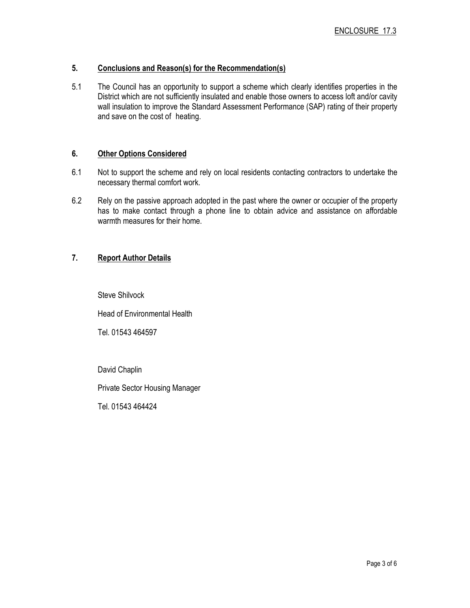## 5. Conclusions and Reason(s) for the Recommendation(s)

5.1 The Council has an opportunity to support a scheme which clearly identifies properties in the District which are not sufficiently insulated and enable those owners to access loft and/or cavity wall insulation to improve the Standard Assessment Performance (SAP) rating of their property and save on the cost of heating.

## 6. Other Options Considered

- 6.1 Not to support the scheme and rely on local residents contacting contractors to undertake the necessary thermal comfort work.
- 6.2 Rely on the passive approach adopted in the past where the owner or occupier of the property has to make contact through a phone line to obtain advice and assistance on affordable warmth measures for their home.

## 7. Report Author Details

Steve Shilvock

Head of Environmental Health

Tel. 01543 464597

David Chaplin

Private Sector Housing Manager

Tel. 01543 464424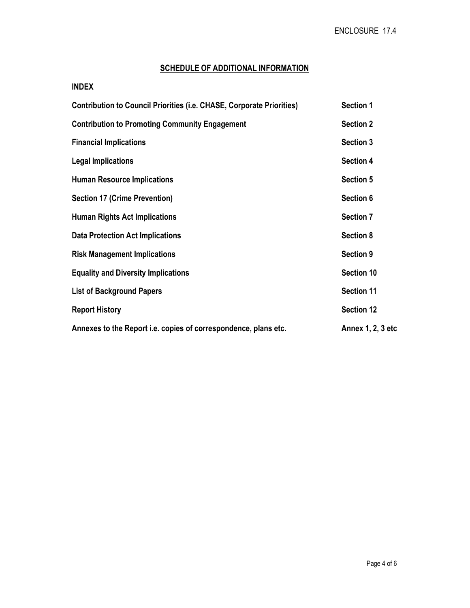## SCHEDULE OF ADDITIONAL INFORMATION

## INDEX

| <b>Contribution to Council Priorities (i.e. CHASE, Corporate Priorities)</b> | <b>Section 1</b>  |
|------------------------------------------------------------------------------|-------------------|
| <b>Contribution to Promoting Community Engagement</b>                        | <b>Section 2</b>  |
| <b>Financial Implications</b>                                                | <b>Section 3</b>  |
| <b>Legal Implications</b>                                                    | <b>Section 4</b>  |
| <b>Human Resource Implications</b>                                           | <b>Section 5</b>  |
| <b>Section 17 (Crime Prevention)</b>                                         | Section 6         |
| <b>Human Rights Act Implications</b>                                         | <b>Section 7</b>  |
| <b>Data Protection Act Implications</b>                                      | <b>Section 8</b>  |
| <b>Risk Management Implications</b>                                          | <b>Section 9</b>  |
| <b>Equality and Diversity Implications</b>                                   | <b>Section 10</b> |
| <b>List of Background Papers</b>                                             | <b>Section 11</b> |
| <b>Report History</b>                                                        | <b>Section 12</b> |
| Annexes to the Report i.e. copies of correspondence, plans etc.              | Annex 1, 2, 3 etc |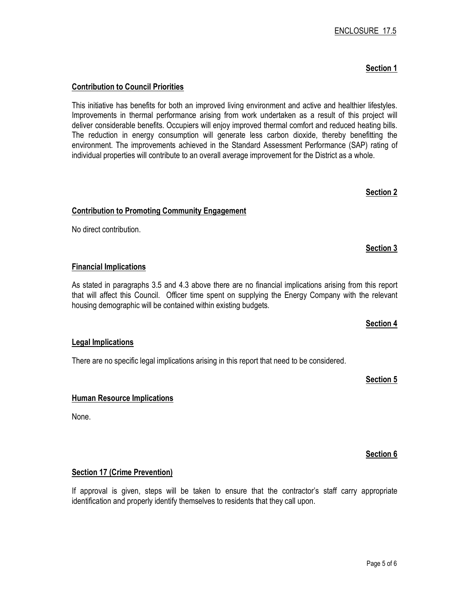## ENCLOSURE 17.5

## Section 1

## Contribution to Council Priorities

This initiative has benefits for both an improved living environment and active and healthier lifestyles. Improvements in thermal performance arising from work undertaken as a result of this project will deliver considerable benefits. Occupiers will enjoy improved thermal comfort and reduced heating bills. The reduction in energy consumption will generate less carbon dioxide, thereby benefitting the environment. The improvements achieved in the Standard Assessment Performance (SAP) rating of individual properties will contribute to an overall average improvement for the District as a whole.

## Contribution to Promoting Community Engagement

No direct contribution.

## Financial Implications

As stated in paragraphs 3.5 and 4.3 above there are no financial implications arising from this report that will affect this Council. Officer time spent on supplying the Energy Company with the relevant housing demographic will be contained within existing budgets.

## Legal Implications

There are no specific legal implications arising in this report that need to be considered.

Section 5

Section 4

## Human Resource Implications

None.

## Section 17 (Crime Prevention)

If approval is given, steps will be taken to ensure that the contractor's staff carry appropriate identification and properly identify themselves to residents that they call upon.

## Section 3

## Section 6

## Section 2